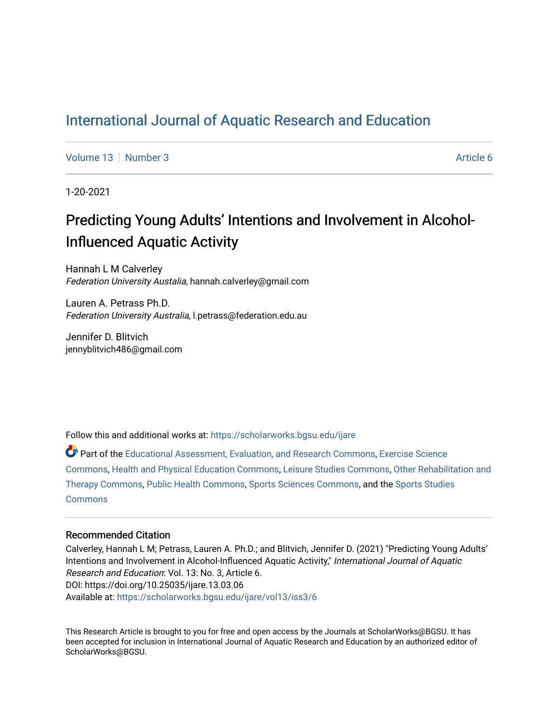# [International Journal of Aquatic Research and Education](https://scholarworks.bgsu.edu/ijare)

[Volume 13](https://scholarworks.bgsu.edu/ijare/vol13) [Number 3](https://scholarworks.bgsu.edu/ijare/vol13/iss3) Article 6

1-20-2021

# Predicting Young Adults' Intentions and Involvement in Alcohol-Influenced Aquatic Activity

Hannah L M Calverley Federation University Austalia, hannah.calverley@gmail.com

Lauren A. Petrass Ph.D. Federation University Australia, l.petrass@federation.edu.au

Jennifer D. Blitvich jennyblitvich486@gmail.com

Follow this and additional works at: [https://scholarworks.bgsu.edu/ijare](https://scholarworks.bgsu.edu/ijare?utm_source=scholarworks.bgsu.edu%2Fijare%2Fvol13%2Fiss3%2F6&utm_medium=PDF&utm_campaign=PDFCoverPages) 

Part of the [Educational Assessment, Evaluation, and Research Commons](http://network.bepress.com/hgg/discipline/796?utm_source=scholarworks.bgsu.edu%2Fijare%2Fvol13%2Fiss3%2F6&utm_medium=PDF&utm_campaign=PDFCoverPages), [Exercise Science](http://network.bepress.com/hgg/discipline/1091?utm_source=scholarworks.bgsu.edu%2Fijare%2Fvol13%2Fiss3%2F6&utm_medium=PDF&utm_campaign=PDFCoverPages) [Commons](http://network.bepress.com/hgg/discipline/1091?utm_source=scholarworks.bgsu.edu%2Fijare%2Fvol13%2Fiss3%2F6&utm_medium=PDF&utm_campaign=PDFCoverPages), [Health and Physical Education Commons,](http://network.bepress.com/hgg/discipline/1327?utm_source=scholarworks.bgsu.edu%2Fijare%2Fvol13%2Fiss3%2F6&utm_medium=PDF&utm_campaign=PDFCoverPages) [Leisure Studies Commons,](http://network.bepress.com/hgg/discipline/1197?utm_source=scholarworks.bgsu.edu%2Fijare%2Fvol13%2Fiss3%2F6&utm_medium=PDF&utm_campaign=PDFCoverPages) [Other Rehabilitation and](http://network.bepress.com/hgg/discipline/758?utm_source=scholarworks.bgsu.edu%2Fijare%2Fvol13%2Fiss3%2F6&utm_medium=PDF&utm_campaign=PDFCoverPages) [Therapy Commons](http://network.bepress.com/hgg/discipline/758?utm_source=scholarworks.bgsu.edu%2Fijare%2Fvol13%2Fiss3%2F6&utm_medium=PDF&utm_campaign=PDFCoverPages), [Public Health Commons](http://network.bepress.com/hgg/discipline/738?utm_source=scholarworks.bgsu.edu%2Fijare%2Fvol13%2Fiss3%2F6&utm_medium=PDF&utm_campaign=PDFCoverPages), [Sports Sciences Commons](http://network.bepress.com/hgg/discipline/759?utm_source=scholarworks.bgsu.edu%2Fijare%2Fvol13%2Fiss3%2F6&utm_medium=PDF&utm_campaign=PDFCoverPages), and the [Sports Studies](http://network.bepress.com/hgg/discipline/1198?utm_source=scholarworks.bgsu.edu%2Fijare%2Fvol13%2Fiss3%2F6&utm_medium=PDF&utm_campaign=PDFCoverPages) **[Commons](http://network.bepress.com/hgg/discipline/1198?utm_source=scholarworks.bgsu.edu%2Fijare%2Fvol13%2Fiss3%2F6&utm_medium=PDF&utm_campaign=PDFCoverPages)** 

#### Recommended Citation

Calverley, Hannah L M; Petrass, Lauren A. Ph.D.; and Blitvich, Jennifer D. (2021) "Predicting Young Adults' Intentions and Involvement in Alcohol-Influenced Aquatic Activity," International Journal of Aquatic Research and Education: Vol. 13: No. 3, Article 6. DOI: https://doi.org/10.25035/ijare.13.03.06 Available at: [https://scholarworks.bgsu.edu/ijare/vol13/iss3/6](https://scholarworks.bgsu.edu/ijare/vol13/iss3/6?utm_source=scholarworks.bgsu.edu%2Fijare%2Fvol13%2Fiss3%2F6&utm_medium=PDF&utm_campaign=PDFCoverPages)

This Research Article is brought to you for free and open access by the Journals at ScholarWorks@BGSU. It has been accepted for inclusion in International Journal of Aquatic Research and Education by an authorized editor of ScholarWorks@BGSU.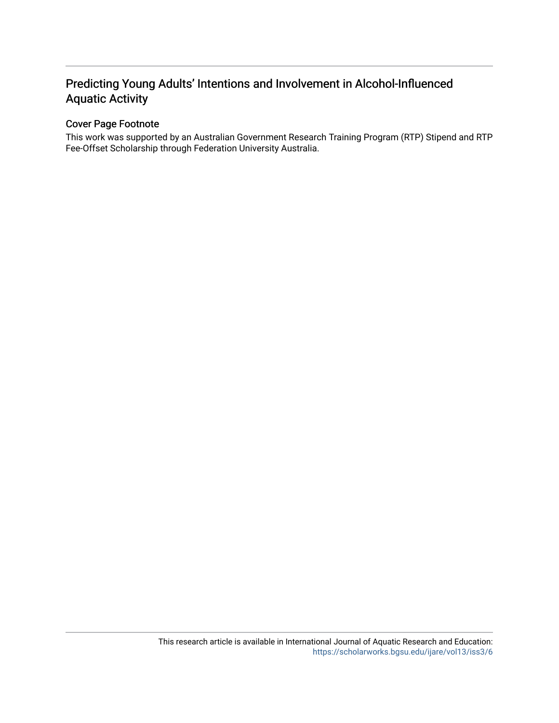# Predicting Young Adults' Intentions and Involvement in Alcohol-Influenced Aquatic Activity

# Cover Page Footnote

This work was supported by an Australian Government Research Training Program (RTP) Stipend and RTP Fee-Offset Scholarship through Federation University Australia.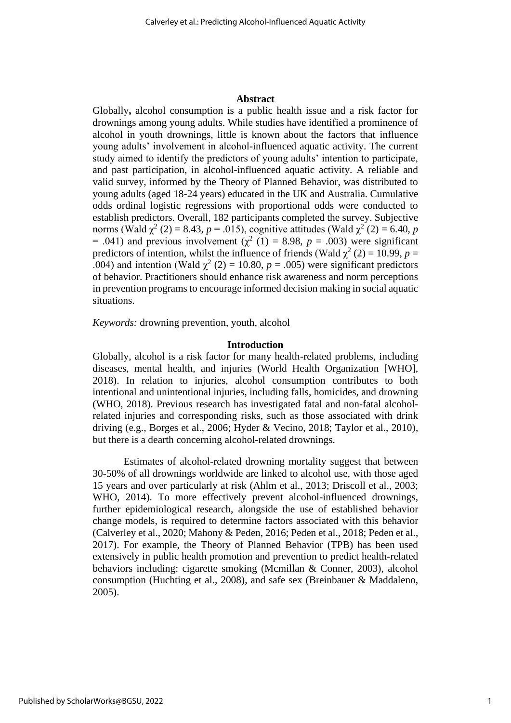#### **Abstract**

Globally**,** alcohol consumption is a public health issue and a risk factor for drownings among young adults. While studies have identified a prominence of alcohol in youth drownings, little is known about the factors that influence young adults' involvement in alcohol-influenced aquatic activity. The current study aimed to identify the predictors of young adults' intention to participate, and past participation, in alcohol-influenced aquatic activity. A reliable and valid survey, informed by the Theory of Planned Behavior, was distributed to young adults (aged 18-24 years) educated in the UK and Australia. Cumulative odds ordinal logistic regressions with proportional odds were conducted to establish predictors. Overall, 182 participants completed the survey. Subjective norms (Wald  $\chi^2$  (2) = 8.43, *p* = .015), cognitive attitudes (Wald  $\chi^2$  (2) = 6.40, *p* = .041) and previous involvement ( $\chi^2$  (1) = 8.98, *p* = .003) were significant predictors of intention, whilst the influence of friends (Wald  $\chi^2$  (2) = 10.99, *p* = .004) and intention (Wald  $\chi^2$  (2) = 10.80, *p* = .005) were significant predictors of behavior. Practitioners should enhance risk awareness and norm perceptions in prevention programs to encourage informed decision making in social aquatic situations.

*Keywords:* drowning prevention, youth, alcohol

#### **Introduction**

Globally, alcohol is a risk factor for many health-related problems, including diseases, mental health, and injuries (World Health Organization [WHO], 2018). In relation to injuries, alcohol consumption contributes to both intentional and unintentional injuries, including falls, homicides, and drowning (WHO, 2018). Previous research has investigated fatal and non-fatal alcoholrelated injuries and corresponding risks, such as those associated with drink driving (e.g., Borges et al., 2006; Hyder & Vecino, 2018; Taylor et al., 2010), but there is a dearth concerning alcohol-related drownings.

Estimates of alcohol-related drowning mortality suggest that between 30-50% of all drownings worldwide are linked to alcohol use, with those aged 15 years and over particularly at risk (Ahlm et al., 2013; Driscoll et al., 2003; WHO, 2014). To more effectively prevent alcohol-influenced drownings, further epidemiological research, alongside the use of established behavior change models, is required to determine factors associated with this behavior (Calverley et al., 2020; Mahony & Peden, 2016; Peden et al., 2018; Peden et al., 2017). For example, the Theory of Planned Behavior (TPB) has been used extensively in public health promotion and prevention to predict health-related behaviors including: cigarette smoking (Mcmillan & Conner, 2003), alcohol consumption (Huchting et al., 2008), and safe sex (Breinbauer & Maddaleno, 2005).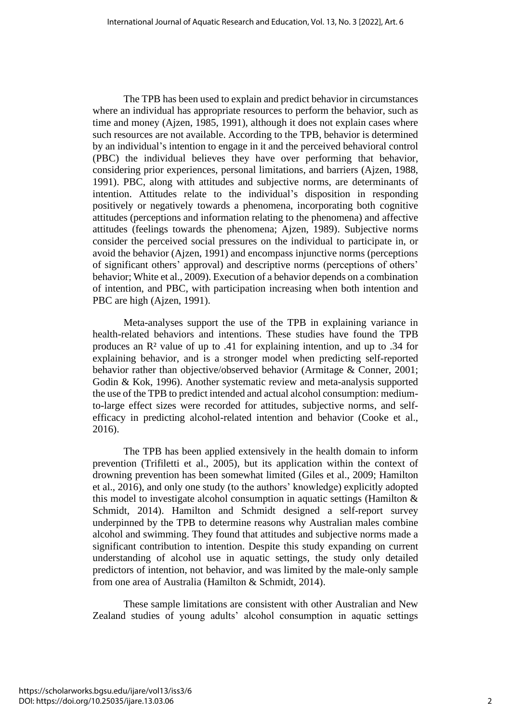The TPB has been used to explain and predict behavior in circumstances where an individual has appropriate resources to perform the behavior, such as time and money (Ajzen, 1985, 1991), although it does not explain cases where such resources are not available. According to the TPB, behavior is determined by an individual's intention to engage in it and the perceived behavioral control (PBC) the individual believes they have over performing that behavior, considering prior experiences, personal limitations, and barriers (Ajzen, 1988, 1991). PBC, along with attitudes and subjective norms, are determinants of intention. Attitudes relate to the individual's disposition in responding positively or negatively towards a phenomena, incorporating both cognitive attitudes (perceptions and information relating to the phenomena) and affective attitudes (feelings towards the phenomena; Ajzen, 1989). Subjective norms consider the perceived social pressures on the individual to participate in, or avoid the behavior (Ajzen, 1991) and encompass injunctive norms (perceptions of significant others' approval) and descriptive norms (perceptions of others' behavior; White et al., 2009). Execution of a behavior depends on a combination of intention, and PBC, with participation increasing when both intention and PBC are high (Ajzen, 1991).

Meta-analyses support the use of the TPB in explaining variance in health-related behaviors and intentions. These studies have found the TPB produces an R² value of up to .41 for explaining intention, and up to .34 for explaining behavior, and is a stronger model when predicting self-reported behavior rather than objective/observed behavior (Armitage & Conner, 2001; Godin & Kok, 1996). Another systematic review and meta-analysis supported the use of the TPB to predict intended and actual alcohol consumption: mediumto-large effect sizes were recorded for attitudes, subjective norms, and selfefficacy in predicting alcohol-related intention and behavior (Cooke et al., 2016).

The TPB has been applied extensively in the health domain to inform prevention (Trifiletti et al., 2005), but its application within the context of drowning prevention has been somewhat limited (Giles et al., 2009; Hamilton et al., 2016), and only one study (to the authors' knowledge) explicitly adopted this model to investigate alcohol consumption in aquatic settings (Hamilton & Schmidt, 2014). Hamilton and Schmidt designed a self-report survey underpinned by the TPB to determine reasons why Australian males combine alcohol and swimming. They found that attitudes and subjective norms made a significant contribution to intention. Despite this study expanding on current understanding of alcohol use in aquatic settings, the study only detailed predictors of intention, not behavior, and was limited by the male-only sample from one area of Australia (Hamilton & Schmidt, 2014).

These sample limitations are consistent with other Australian and New Zealand studies of young adults' alcohol consumption in aquatic settings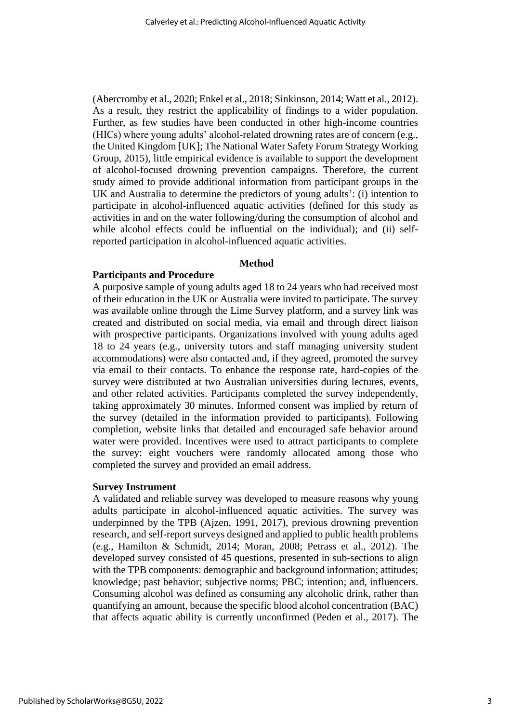(Abercromby et al., 2020; Enkel et al., 2018; Sinkinson, 2014; Watt et al., 2012). As a result, they restrict the applicability of findings to a wider population. Further, as few studies have been conducted in other high-income countries (HICs) where young adults' alcohol-related drowning rates are of concern (e.g., the United Kingdom [UK]; The National Water Safety Forum Strategy Working Group, 2015), little empirical evidence is available to support the development of alcohol-focused drowning prevention campaigns. Therefore, the current study aimed to provide additional information from participant groups in the UK and Australia to determine the predictors of young adults': (i) intention to participate in alcohol-influenced aquatic activities (defined for this study as activities in and on the water following/during the consumption of alcohol and while alcohol effects could be influential on the individual); and (ii) selfreported participation in alcohol-influenced aquatic activities.

#### **Method**

#### **Participants and Procedure**

A purposive sample of young adults aged 18 to 24 years who had received most of their education in the UK or Australia were invited to participate. The survey was available online through the Lime Survey platform, and a survey link was created and distributed on social media, via email and through direct liaison with prospective participants. Organizations involved with young adults aged 18 to 24 years (e.g., university tutors and staff managing university student accommodations) were also contacted and, if they agreed, promoted the survey via email to their contacts. To enhance the response rate, hard-copies of the survey were distributed at two Australian universities during lectures, events, and other related activities. Participants completed the survey independently, taking approximately 30 minutes. Informed consent was implied by return of the survey (detailed in the information provided to participants). Following completion, website links that detailed and encouraged safe behavior around water were provided. Incentives were used to attract participants to complete the survey: eight vouchers were randomly allocated among those who completed the survey and provided an email address.

#### **Survey Instrument**

A validated and reliable survey was developed to measure reasons why young adults participate in alcohol-influenced aquatic activities. The survey was underpinned by the TPB (Ajzen, 1991, 2017), previous drowning prevention research, and self-report surveys designed and applied to public health problems (e.g., Hamilton & Schmidt, 2014; Moran, 2008; Petrass et al., 2012). The developed survey consisted of 45 questions, presented in sub-sections to align with the TPB components: demographic and background information; attitudes; knowledge; past behavior; subjective norms; PBC; intention; and, influencers. Consuming alcohol was defined as consuming any alcoholic drink, rather than quantifying an amount, because the specific blood alcohol concentration (BAC) that affects aquatic ability is currently unconfirmed (Peden et al., 2017). The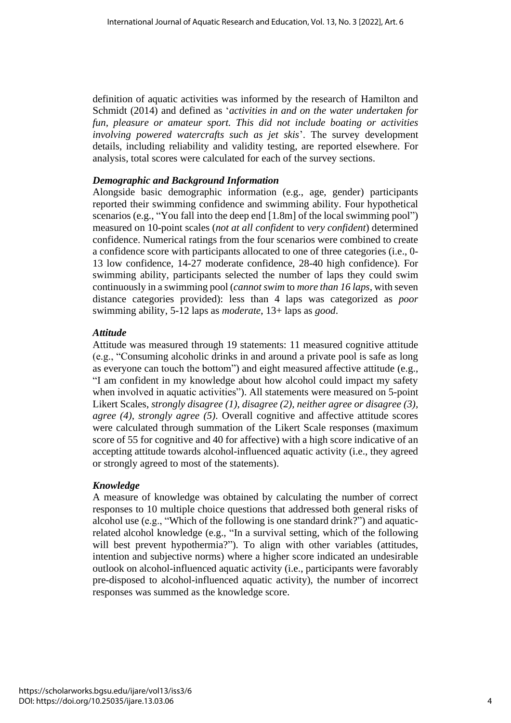definition of aquatic activities was informed by the research of Hamilton and Schmidt (2014) and defined as '*activities in and on the water undertaken for fun, pleasure or amateur sport. This did not include boating or activities involving powered watercrafts such as jet skis*'. The survey development details, including reliability and validity testing, are reported elsewhere. For analysis, total scores were calculated for each of the survey sections.

## *Demographic and Background Information*

Alongside basic demographic information (e.g., age, gender) participants reported their swimming confidence and swimming ability. Four hypothetical scenarios (e.g., "You fall into the deep end [1.8m] of the local swimming pool") measured on 10-point scales (*not at all confident* to *very confident*) determined confidence. Numerical ratings from the four scenarios were combined to create a confidence score with participants allocated to one of three categories (i.e., 0- 13 low confidence, 14-27 moderate confidence, 28-40 high confidence). For swimming ability, participants selected the number of laps they could swim continuously in a swimming pool (*cannot swim* to *more than 16 laps,* with seven distance categories provided): less than 4 laps was categorized as *poor*  swimming ability, 5-12 laps as *moderate*, 13+ laps as *good*.

# *Attitude*

Attitude was measured through 19 statements: 11 measured cognitive attitude (e.g., "Consuming alcoholic drinks in and around a private pool is safe as long as everyone can touch the bottom") and eight measured affective attitude (e.g., "I am confident in my knowledge about how alcohol could impact my safety when involved in aquatic activities"). All statements were measured on 5-point Likert Scales, *strongly disagree (1), disagree (2), neither agree or disagree (3), agree (4), strongly agree (5)*. Overall cognitive and affective attitude scores were calculated through summation of the Likert Scale responses (maximum score of 55 for cognitive and 40 for affective) with a high score indicative of an accepting attitude towards alcohol-influenced aquatic activity (i.e., they agreed or strongly agreed to most of the statements).

### *Knowledge*

A measure of knowledge was obtained by calculating the number of correct responses to 10 multiple choice questions that addressed both general risks of alcohol use (e.g., "Which of the following is one standard drink?") and aquaticrelated alcohol knowledge (e.g., "In a survival setting, which of the following will best prevent hypothermia?"). To align with other variables (attitudes, intention and subjective norms) where a higher score indicated an undesirable outlook on alcohol-influenced aquatic activity (i.e., participants were favorably pre-disposed to alcohol-influenced aquatic activity), the number of incorrect responses was summed as the knowledge score.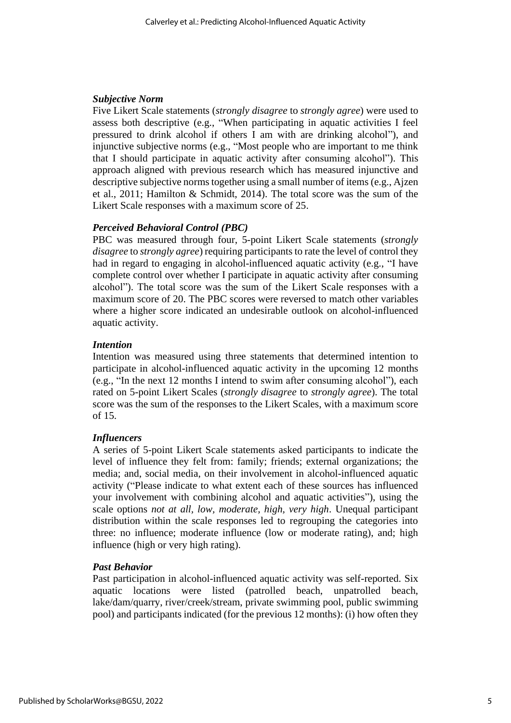## *Subjective Norm*

Five Likert Scale statements (*strongly disagree* to *strongly agree*) were used to assess both descriptive (e.g., "When participating in aquatic activities I feel pressured to drink alcohol if others I am with are drinking alcohol"), and injunctive subjective norms (e.g., "Most people who are important to me think that I should participate in aquatic activity after consuming alcohol"). This approach aligned with previous research which has measured injunctive and descriptive subjective norms together using a small number of items (e.g., Ajzen et al., 2011; Hamilton & Schmidt, 2014). The total score was the sum of the Likert Scale responses with a maximum score of 25.

## *Perceived Behavioral Control (PBC)*

PBC was measured through four, 5-point Likert Scale statements (*strongly disagree* to *strongly agree*) requiring participants to rate the level of control they had in regard to engaging in alcohol-influenced aquatic activity (e.g., "I have complete control over whether I participate in aquatic activity after consuming alcohol"). The total score was the sum of the Likert Scale responses with a maximum score of 20. The PBC scores were reversed to match other variables where a higher score indicated an undesirable outlook on alcohol-influenced aquatic activity.

## *Intention*

Intention was measured using three statements that determined intention to participate in alcohol-influenced aquatic activity in the upcoming 12 months (e.g., "In the next 12 months I intend to swim after consuming alcohol"), each rated on 5-point Likert Scales (*strongly disagree* to *strongly agree*). The total score was the sum of the responses to the Likert Scales, with a maximum score of 15.

# *Influencers*

A series of 5-point Likert Scale statements asked participants to indicate the level of influence they felt from: family; friends; external organizations; the media; and, social media, on their involvement in alcohol-influenced aquatic activity ("Please indicate to what extent each of these sources has influenced your involvement with combining alcohol and aquatic activities"), using the scale options *not at all, low, moderate, high, very high*. Unequal participant distribution within the scale responses led to regrouping the categories into three: no influence; moderate influence (low or moderate rating), and; high influence (high or very high rating).

# *Past Behavior*

Past participation in alcohol-influenced aquatic activity was self-reported. Six aquatic locations were listed (patrolled beach, unpatrolled beach, lake/dam/quarry, river/creek/stream, private swimming pool, public swimming pool) and participants indicated (for the previous 12 months): (i) how often they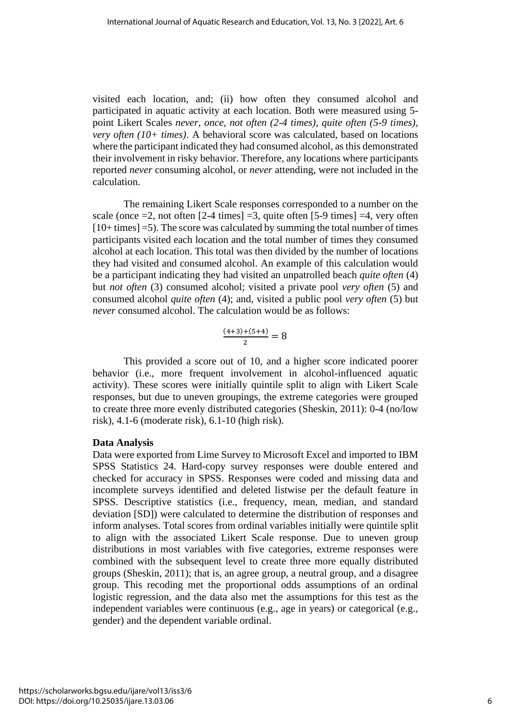visited each location, and; (ii) how often they consumed alcohol and participated in aquatic activity at each location. Both were measured using 5 point Likert Scales *never, once, not often (2-4 times), quite often (5-9 times), very often (10+ times)*. A behavioral score was calculated, based on locations where the participant indicated they had consumed alcohol, as this demonstrated their involvement in risky behavior. Therefore, any locations where participants reported *never* consuming alcohol, or *never* attending, were not included in the calculation.

The remaining Likert Scale responses corresponded to a number on the scale (once  $=$  2, not often [2-4 times]  $=$  3, quite often [5-9 times]  $=$  4, very often [10+ times] =5). The score was calculated by summing the total number of times participants visited each location and the total number of times they consumed alcohol at each location. This total was then divided by the number of locations they had visited and consumed alcohol. An example of this calculation would be a participant indicating they had visited an unpatrolled beach *quite often* (4) but *not often* (3) consumed alcohol; visited a private pool *very often* (5) and consumed alcohol *quite often* (4); and, visited a public pool *very often* (5) but *never* consumed alcohol. The calculation would be as follows:

$$
\frac{(4+3)+(5+4)}{2}=8
$$

This provided a score out of 10, and a higher score indicated poorer behavior (i.e., more frequent involvement in alcohol-influenced aquatic activity). These scores were initially quintile split to align with Likert Scale responses, but due to uneven groupings, the extreme categories were grouped to create three more evenly distributed categories (Sheskin, 2011): 0-4 (no/low risk), 4.1-6 (moderate risk), 6.1-10 (high risk).

# **Data Analysis**

Data were exported from Lime Survey to Microsoft Excel and imported to IBM SPSS Statistics 24. Hard-copy survey responses were double entered and checked for accuracy in SPSS. Responses were coded and missing data and incomplete surveys identified and deleted listwise per the default feature in SPSS. Descriptive statistics (i.e., frequency, mean, median, and standard deviation [SD]) were calculated to determine the distribution of responses and inform analyses. Total scores from ordinal variables initially were quintile split to align with the associated Likert Scale response. Due to uneven group distributions in most variables with five categories, extreme responses were combined with the subsequent level to create three more equally distributed groups (Sheskin, 2011); that is, an agree group, a neutral group, and a disagree group. This recoding met the proportional odds assumptions of an ordinal logistic regression, and the data also met the assumptions for this test as the independent variables were continuous (e.g., age in years) or categorical (e.g., gender) and the dependent variable ordinal.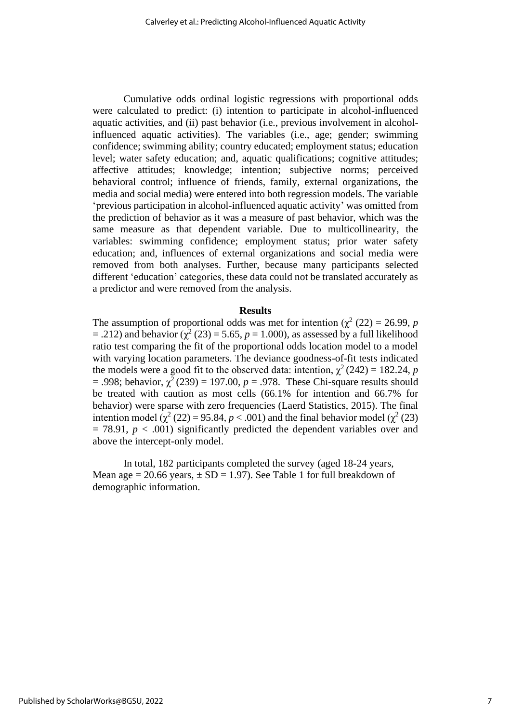Cumulative odds ordinal logistic regressions with proportional odds were calculated to predict: (i) intention to participate in alcohol-influenced aquatic activities, and (ii) past behavior (i.e., previous involvement in alcoholinfluenced aquatic activities). The variables (i.e., age; gender; swimming confidence; swimming ability; country educated; employment status; education level; water safety education; and, aquatic qualifications; cognitive attitudes; affective attitudes; knowledge; intention; subjective norms; perceived behavioral control; influence of friends, family, external organizations, the media and social media) were entered into both regression models. The variable 'previous participation in alcohol-influenced aquatic activity' was omitted from the prediction of behavior as it was a measure of past behavior, which was the same measure as that dependent variable. Due to multicollinearity, the variables: swimming confidence; employment status; prior water safety education; and, influences of external organizations and social media were removed from both analyses. Further, because many participants selected different 'education' categories, these data could not be translated accurately as a predictor and were removed from the analysis.

#### **Results**

The assumption of proportional odds was met for intention  $(\chi^2 (22) = 26.99, p$  $=$  .212) and behavior ( $\chi^2$  (23) = 5.65, *p* = 1.000), as assessed by a full likelihood ratio test comparing the fit of the proportional odds location model to a model with varying location parameters. The deviance goodness-of-fit tests indicated the models were a good fit to the observed data: intention,  $\chi^2(242) = 182.24$ , *p*  $= .998$ ; behavior,  $\gamma^2$  (239) = 197.00,  $p = .978$ . These Chi-square results should be treated with caution as most cells (66.1% for intention and 66.7% for behavior) were sparse with zero frequencies (Laerd Statistics, 2015). The final intention model ( $\chi^2$  (22) = 95.84, *p* < .001) and the final behavior model ( $\chi^2$  (23)  $= 78.91, p < .001$ ) significantly predicted the dependent variables over and above the intercept-only model.

In total, 182 participants completed the survey (aged 18-24 years, Mean age  $= 20.66$  years,  $\pm SD = 1.97$ ). See Table 1 for full breakdown of demographic information.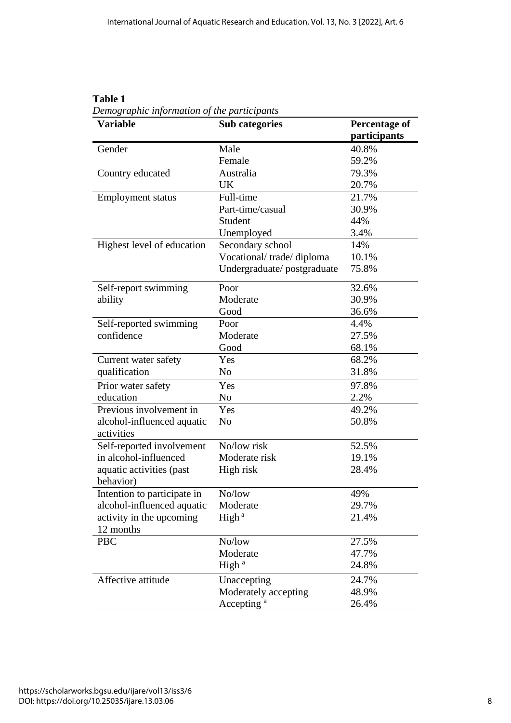| <b>Variable</b>                          | <b>Sub categories</b>      | <b>Percentage of</b> |
|------------------------------------------|----------------------------|----------------------|
|                                          |                            | participants         |
| Gender                                   | Male                       | 40.8%                |
|                                          | Female                     | 59.2%                |
| Country educated                         | Australia                  | 79.3%                |
|                                          | UK                         | 20.7%                |
| <b>Employment status</b>                 | Full-time                  | 21.7%                |
|                                          | Part-time/casual           | 30.9%                |
|                                          | Student                    | 44%                  |
|                                          | Unemployed                 | 3.4%                 |
| Highest level of education               | Secondary school           | 14%                  |
|                                          | Vocational/trade/diploma   | 10.1%                |
|                                          | Undergraduate/postgraduate | 75.8%                |
| Self-report swimming                     | Poor                       | 32.6%                |
| ability                                  | Moderate                   | 30.9%                |
|                                          | Good                       | 36.6%                |
| Self-reported swimming                   | Poor                       | 4.4%                 |
| confidence                               | Moderate                   | 27.5%                |
|                                          | Good                       | 68.1%                |
| Current water safety                     | Yes                        | 68.2%                |
| qualification                            | No                         | 31.8%                |
| Prior water safety                       | Yes                        | 97.8%                |
| education                                | No                         | 2.2%                 |
| Previous involvement in                  | Yes                        | 49.2%                |
| alcohol-influenced aquatic<br>activities | N <sub>o</sub>             | 50.8%                |
| Self-reported involvement                | No/low risk                | 52.5%                |
| in alcohol-influenced                    | Moderate risk              | 19.1%                |
| aquatic activities (past<br>behavior)    | High risk                  | 28.4%                |
| Intention to participate in              | No/low                     | 49%                  |
| alcohol-influenced aquatic               | Moderate                   | 29.7%                |
| activity in the upcoming                 | High <sup>a</sup>          | 21.4%                |
| 12 months                                |                            |                      |
| PBC                                      | No/low                     | 27.5%                |
|                                          | Moderate                   | 47.7%                |
|                                          | High <sup>a</sup>          | 24.8%                |
| Affective attitude                       | Unaccepting                | 24.7%                |
|                                          | Moderately accepting       | 48.9%                |
|                                          | Accepting <sup>a</sup>     | 26.4%                |

**Table 1** *Demographic information of the participants*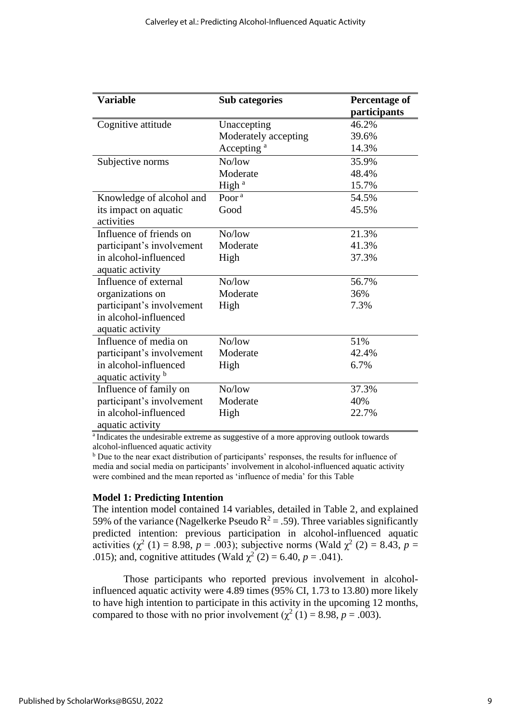| <b>Variable</b>           | <b>Sub categories</b>  | <b>Percentage of</b><br>participants |
|---------------------------|------------------------|--------------------------------------|
| Cognitive attitude        | Unaccepting            | 46.2%                                |
|                           | Moderately accepting   | 39.6%                                |
|                           | Accepting <sup>a</sup> | 14.3%                                |
| Subjective norms          | No/low                 | 35.9%                                |
|                           | Moderate               | 48.4%                                |
|                           | High <sup>a</sup>      | 15.7%                                |
| Knowledge of alcohol and  | Poor <sup>a</sup>      | 54.5%                                |
| its impact on aquatic     | Good                   | 45.5%                                |
| activities                |                        |                                      |
| Influence of friends on   | No/low                 | 21.3%                                |
| participant's involvement | Moderate               | 41.3%                                |
| in alcohol-influenced     | High                   | 37.3%                                |
| aquatic activity          |                        |                                      |
| Influence of external     | No/low                 | 56.7%                                |
| organizations on          | Moderate               | 36%                                  |
| participant's involvement | High                   | 7.3%                                 |
| in alcohol-influenced     |                        |                                      |
| aquatic activity          |                        |                                      |
| Influence of media on     | No/low                 | 51%                                  |
| participant's involvement | Moderate               | 42.4%                                |
| in alcohol-influenced     | High                   | 6.7%                                 |
| aquatic activity b        |                        |                                      |
| Influence of family on    | No/low                 | 37.3%                                |
| participant's involvement | Moderate               | 40%                                  |
| in alcohol-influenced     | High                   | 22.7%                                |
| aquatic activity          |                        |                                      |

<sup>a</sup>Indicates the undesirable extreme as suggestive of a more approving outlook towards alcohol-influenced aquatic activity

<sup>b</sup> Due to the near exact distribution of participants' responses, the results for influence of media and social media on participants' involvement in alcohol-influenced aquatic activity were combined and the mean reported as 'influence of media' for this Table

#### **Model 1: Predicting Intention**

The intention model contained 14 variables, detailed in Table 2, and explained 59% of the variance (Nagelkerke Pseudo  $R^2 = 0.59$ ). Three variables significantly predicted intention: previous participation in alcohol-influenced aquatic activities ( $\chi^2$  (1) = 8.98, *p* = .003); subjective norms (Wald  $\chi^2$  (2) = 8.43, *p* = .015); and, cognitive attitudes (Wald  $\chi^2$  (2) = 6.40, p = .041).

Those participants who reported previous involvement in alcoholinfluenced aquatic activity were 4.89 times (95% CI, 1.73 to 13.80) more likely to have high intention to participate in this activity in the upcoming 12 months, compared to those with no prior involvement ( $\chi^2$  (1) = 8.98, *p* = .003).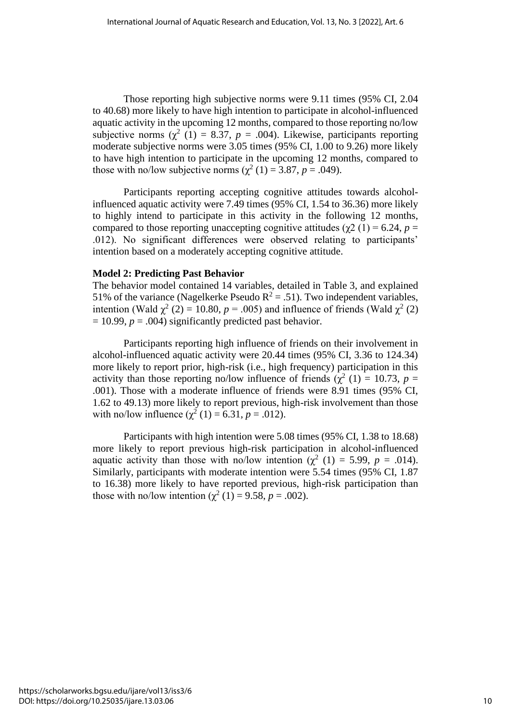Those reporting high subjective norms were 9.11 times (95% CI, 2.04 to 40.68) more likely to have high intention to participate in alcohol-influenced aquatic activity in the upcoming 12 months, compared to those reporting no/low subjective norms  $(\chi^2(1) = 8.37, p = .004)$ . Likewise, participants reporting moderate subjective norms were 3.05 times (95% CI, 1.00 to 9.26) more likely to have high intention to participate in the upcoming 12 months, compared to those with no/low subjective norms  $(\chi^2(1) = 3.87, p = .049)$ .

Participants reporting accepting cognitive attitudes towards alcoholinfluenced aquatic activity were 7.49 times (95% CI, 1.54 to 36.36) more likely to highly intend to participate in this activity in the following 12 months, compared to those reporting unaccepting cognitive attitudes ( $χ2(1) = 6.24$ , *p* = .012). No significant differences were observed relating to participants' intention based on a moderately accepting cognitive attitude.

#### **Model 2: Predicting Past Behavior**

The behavior model contained 14 variables, detailed in Table 3, and explained 51% of the variance (Nagelkerke Pseudo  $R^2 = .51$ ). Two independent variables, intention (Wald  $\chi^2$  (2) = 10.80, *p* = .005) and influence of friends (Wald  $\chi^2$  (2)  $= 10.99, p = .004$ ) significantly predicted past behavior.

Participants reporting high influence of friends on their involvement in alcohol-influenced aquatic activity were 20.44 times (95% CI, 3.36 to 124.34) more likely to report prior, high-risk (i.e., high frequency) participation in this activity than those reporting no/low influence of friends ( $\chi^2$  (1) = 10.73, *p* = .001). Those with a moderate influence of friends were 8.91 times (95% CI, 1.62 to 49.13) more likely to report previous, high-risk involvement than those with no/low influence  $(\chi^2(1) = 6.31, p = .012)$ .

Participants with high intention were 5.08 times (95% CI, 1.38 to 18.68) more likely to report previous high-risk participation in alcohol-influenced aquatic activity than those with no/low intention  $(\chi^2(1) = 5.99, p = .014)$ . Similarly, participants with moderate intention were 5.54 times (95% CI, 1.87 to 16.38) more likely to have reported previous, high-risk participation than those with no/low intention  $(\chi^2(1) = 9.58, p = .002)$ .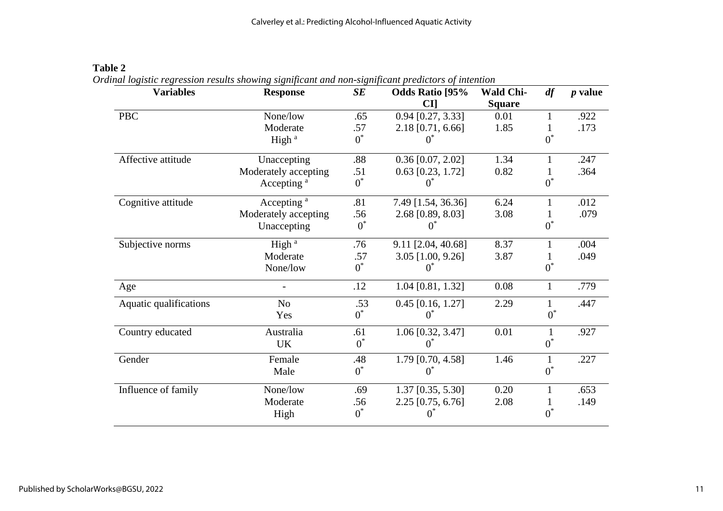| <b>Variables</b>       | <b>Response</b>        | SE    | Odds Ratio [95%<br><b>CI</b> | <b>Wald Chi-</b><br><b>Square</b> | df           | $p$ value |
|------------------------|------------------------|-------|------------------------------|-----------------------------------|--------------|-----------|
| <b>PBC</b>             | None/low               | .65   | $0.94$ [0.27, 3.33]          | 0.01                              | $\mathbf{1}$ | .922      |
|                        | Moderate               | .57   | 2.18 [0.71, 6.66]            | 1.85                              |              | .173      |
|                        | High <sup>a</sup>      | $0^*$ | $\theta$                     |                                   | $0^*$        |           |
| Affective attitude     | Unaccepting            | .88   | $0.36$ [0.07, 2.02]          | 1.34                              | 1            | .247      |
|                        | Moderately accepting   | .51   | $0.63$ [0.23, 1.72]          | 0.82                              | 1            | .364      |
|                        | Accepting <sup>a</sup> | $0^*$ | 0                            |                                   | $0^*$        |           |
| Cognitive attitude     | Accepting <sup>a</sup> | .81   | 7.49 [1.54, 36.36]           | 6.24                              | $\mathbf{1}$ | .012      |
|                        | Moderately accepting   | .56   | 2.68 [0.89, 8.03]            | 3.08                              |              | .079      |
|                        | Unaccepting            | $0^*$ |                              |                                   | $0^*$        |           |
| Subjective norms       | High <sup>a</sup>      | .76   | 9.11 [2.04, 40.68]           | 8.37                              | 1            | .004      |
|                        | Moderate               | .57   | 3.05 [1.00, 9.26]            | 3.87                              |              | .049      |
|                        | None/low               | $0^*$ | $\theta$                     |                                   | $0^*$        |           |
| Age                    |                        | .12   | 1.04 [0.81, 1.32]            | 0.08                              | $\mathbf{1}$ | .779      |
| Aquatic qualifications | N <sub>o</sub>         | .53   | $0.45$ [0.16, 1.27]          | 2.29                              | $\mathbf{1}$ | .447      |
|                        | Yes                    | $0^*$ | $0^*$                        |                                   | $0^*$        |           |
| Country educated       | Australia              | .61   | 1.06 [0.32, 3.47]            | 0.01                              | 1            | .927      |
|                        | <b>UK</b>              | $0^*$ | $0^*$                        |                                   | $0^*$        |           |
| Gender                 | Female                 | .48   | 1.79 [0.70, 4.58]            | 1.46                              | $\mathbf{1}$ | .227      |
|                        | Male                   | $0^*$ | $0^{\degree}$                |                                   | $0^*$        |           |
| Influence of family    | None/low               | .69   | 1.37 [0.35, 5.30]            | 0.20                              |              | .653      |
|                        | Moderate               | .56   | 2.25 [0.75, 6.76]            | 2.08                              | 1            | .149      |
|                        | High                   | $0^*$ |                              |                                   | $0^*$        |           |

# **Table 2**

*Ordinal logistic regression results showing significant and non-significant predictors of intention*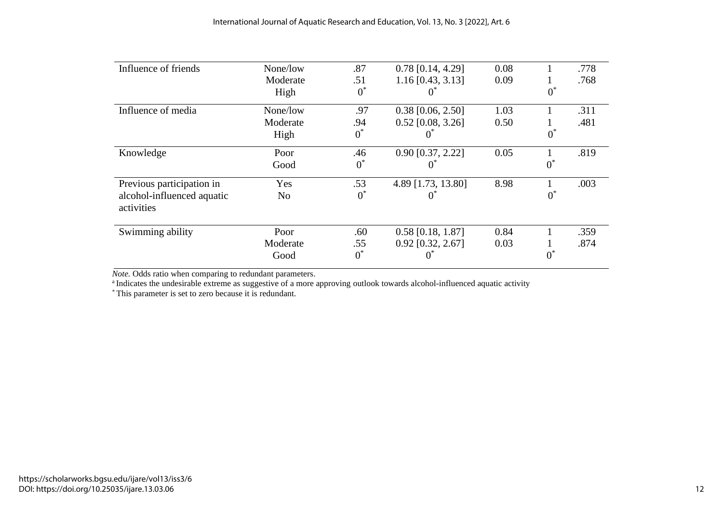| Influence of friends                     | None/low       | .87   | $0.78$ [0.14, 4.29] | 0.08 |       | .778 |
|------------------------------------------|----------------|-------|---------------------|------|-------|------|
|                                          | Moderate       | .51   | $1.16$ [0.43, 3.13] | 0.09 |       | .768 |
|                                          | High           | $0^*$ |                     |      | $0^*$ |      |
| Influence of media                       | None/low       | .97   | $0.38$ [0.06, 2.50] | 1.03 |       | .311 |
|                                          | Moderate       | .94   | $0.52$ [0.08, 3.26] | 0.50 |       | .481 |
|                                          | High           | $0^*$ |                     |      | $0^*$ |      |
| Knowledge                                | Poor           | .46   | $0.90$ [0.37, 2.22] | 0.05 |       | .819 |
|                                          | Good           | $0^*$ |                     |      | $0^*$ |      |
| Previous participation in                | Yes            | .53   | 4.89 [1.73, 13.80]  | 8.98 |       | .003 |
| alcohol-influenced aquatic<br>activities | N <sub>o</sub> | $0^*$ | O                   |      | $0^*$ |      |
| Swimming ability                         | Poor           | .60   | $0.58$ [0.18, 1.87] | 0.84 |       | .359 |
|                                          | Moderate       | .55   | $0.92$ [0.32, 2.67] | 0.03 |       | .874 |
|                                          | Good           | $0^*$ |                     |      | $0^*$ |      |

*Note.* Odds ratio when comparing to redundant parameters.

<sup>a</sup> Indicates the undesirable extreme as suggestive of a more approving outlook towards alcohol-influenced aquatic activity

\* This parameter is set to zero because it is redundant.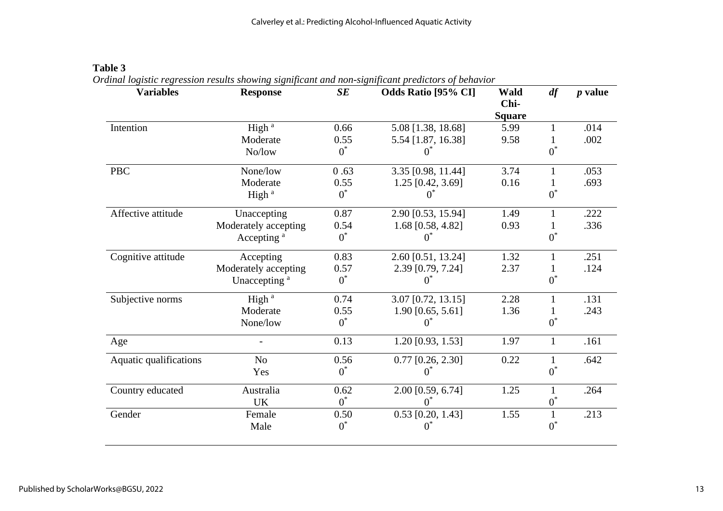| <b>Variables</b>       | <b>Response</b>          | SE    | <b>Odds Ratio [95% CI]</b> | Wald<br>Chi-  | df           | $p$ value |
|------------------------|--------------------------|-------|----------------------------|---------------|--------------|-----------|
|                        |                          |       |                            | <b>Square</b> |              |           |
| Intention              | High <sup>a</sup>        | 0.66  | 5.08 [1.38, 18.68]         | 5.99          | 1            | .014      |
|                        | Moderate                 | 0.55  | 5.54 [1.87, 16.38]         | 9.58          |              | .002      |
|                        | No/low                   | $0^*$ | $0^*$                      |               | $0^*$        |           |
| <b>PBC</b>             | None/low                 | 0.63  | 3.35 [0.98, 11.44]         | 3.74          | $\mathbf{1}$ | .053      |
|                        | Moderate                 | 0.55  | 1.25 [0.42, 3.69]          | 0.16          |              | .693      |
|                        | High <sup>a</sup>        | $0^*$ | $0^*$                      |               | $0^*$        |           |
| Affective attitude     | Unaccepting              | 0.87  | 2.90 [0.53, 15.94]         | 1.49          |              | .222      |
|                        | Moderately accepting     | 0.54  | 1.68 [0.58, 4.82]          | 0.93          |              | .336      |
|                        | Accepting <sup>a</sup>   | $0^*$ | 0.                         |               | $0^*$        |           |
| Cognitive attitude     | Accepting                | 0.83  | 2.60 [0.51, 13.24]         | 1.32          | $\mathbf{1}$ | .251      |
|                        | Moderately accepting     | 0.57  | 2.39 [0.79, 7.24]          | 2.37          |              | .124      |
|                        | Unaccepting <sup>a</sup> | $0^*$ | Œ                          |               | $0^*$        |           |
| Subjective norms       | High <sup>a</sup>        | 0.74  | 3.07 [0.72, 13.15]         | 2.28          | $\mathbf{1}$ | .131      |
|                        | Moderate                 | 0.55  | $1.90$ [0.65, 5.61]        | 1.36          |              | .243      |
|                        | None/low                 | $0^*$ | $0^*$                      |               | $0^*$        |           |
| Age                    |                          | 0.13  | 1.20 [0.93, 1.53]          | 1.97          | $\mathbf{1}$ | .161      |
| Aquatic qualifications | N <sub>o</sub>           | 0.56  | $0.77$ [0.26, 2.30]        | 0.22          | $\mathbf{1}$ | .642      |
|                        | Yes                      | $0^*$ | 0*                         |               | $0^*$        |           |
| Country educated       | Australia                | 0.62  | 2.00 [0.59, 6.74]          | 1.25          | $\mathbf{1}$ | .264      |
|                        | <b>UK</b>                | $0^*$ | $0^*$                      |               | $0^*$        |           |
| Gender                 | Female                   | 0.50  | $0.53$ [0.20, 1.43]        | 1.55          | 1            | .213      |
|                        | Male                     | $0^*$ | $0^*$                      |               | $0^*$        |           |

# **Table 3** *Ordinal logistic regression results showing significant and non-significant predictors of behavior*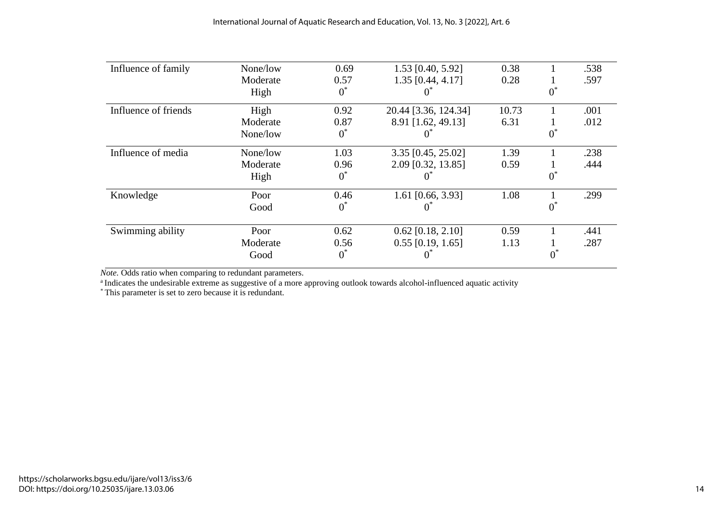| Influence of family  | None/low | 0.69  | $1.53$ [0.40, 5.92]  | 0.38  |   | .538 |
|----------------------|----------|-------|----------------------|-------|---|------|
|                      | Moderate | 0.57  | 1.35 [0.44, 4.17]    | 0.28  |   | .597 |
|                      | High     | $0^*$ |                      |       |   |      |
| Influence of friends | High     | 0.92  | 20.44 [3.36, 124.34] | 10.73 |   | .001 |
|                      | Moderate | 0.87  | 8.91 [1.62, 49.13]   | 6.31  |   | .012 |
|                      | None/low | $0^*$ |                      |       | U |      |
| Influence of media   | None/low | 1.03  | 3.35 [0.45, 25.02]   | 1.39  |   | .238 |
|                      | Moderate | 0.96  | 2.09 [0.32, 13.85]   | 0.59  |   | .444 |
|                      | High     | $0^*$ |                      |       | 0 |      |
| Knowledge            | Poor     | 0.46  | 1.61 [0.66, 3.93]    | 1.08  |   | .299 |
|                      | Good     | $0^*$ |                      |       |   |      |
| Swimming ability     | Poor     | 0.62  | $0.62$ [0.18, 2.10]  | 0.59  |   | .441 |
|                      | Moderate | 0.56  | $0.55$ [0.19, 1.65]  | 1.13  |   | .287 |
|                      | Good     | $0^*$ |                      |       |   |      |

*Note.* Odds ratio when comparing to redundant parameters.

<sup>a</sup> Indicates the undesirable extreme as suggestive of a more approving outlook towards alcohol-influenced aquatic activity

\* This parameter is set to zero because it is redundant.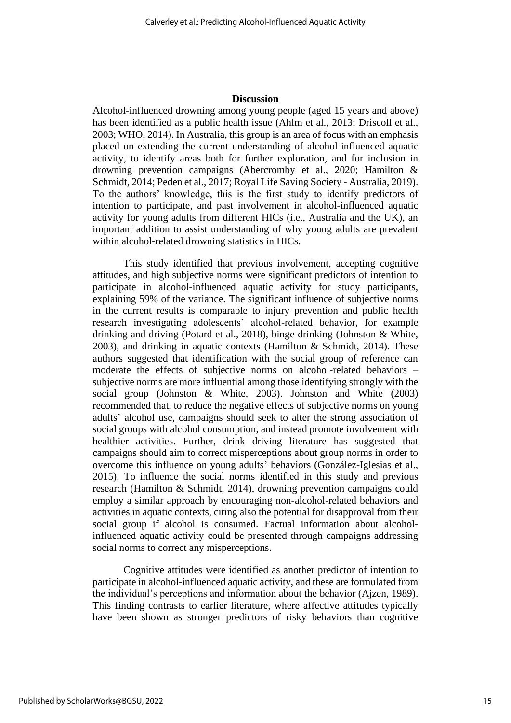#### **Discussion**

Alcohol-influenced drowning among young people (aged 15 years and above) has been identified as a public health issue (Ahlm et al., 2013; Driscoll et al., 2003; WHO, 2014). In Australia, this group is an area of focus with an emphasis placed on extending the current understanding of alcohol-influenced aquatic activity, to identify areas both for further exploration, and for inclusion in drowning prevention campaigns (Abercromby et al., 2020; Hamilton & Schmidt, 2014; Peden et al., 2017; Royal Life Saving Society - Australia, 2019). To the authors' knowledge, this is the first study to identify predictors of intention to participate, and past involvement in alcohol-influenced aquatic activity for young adults from different HICs (i.e., Australia and the UK), an important addition to assist understanding of why young adults are prevalent within alcohol-related drowning statistics in HICs.

This study identified that previous involvement, accepting cognitive attitudes, and high subjective norms were significant predictors of intention to participate in alcohol-influenced aquatic activity for study participants, explaining 59% of the variance. The significant influence of subjective norms in the current results is comparable to injury prevention and public health research investigating adolescents' alcohol-related behavior, for example drinking and driving (Potard et al., 2018), binge drinking (Johnston & White, 2003), and drinking in aquatic contexts (Hamilton & Schmidt, 2014). These authors suggested that identification with the social group of reference can moderate the effects of subjective norms on alcohol-related behaviors – subjective norms are more influential among those identifying strongly with the social group (Johnston & White, 2003). Johnston and White (2003) recommended that, to reduce the negative effects of subjective norms on young adults' alcohol use, campaigns should seek to alter the strong association of social groups with alcohol consumption, and instead promote involvement with healthier activities. Further, drink driving literature has suggested that campaigns should aim to correct misperceptions about group norms in order to overcome this influence on young adults' behaviors (González-Iglesias et al., 2015). To influence the social norms identified in this study and previous research (Hamilton & Schmidt, 2014), drowning prevention campaigns could employ a similar approach by encouraging non-alcohol-related behaviors and activities in aquatic contexts, citing also the potential for disapproval from their social group if alcohol is consumed. Factual information about alcoholinfluenced aquatic activity could be presented through campaigns addressing social norms to correct any misperceptions.

Cognitive attitudes were identified as another predictor of intention to participate in alcohol-influenced aquatic activity, and these are formulated from the individual's perceptions and information about the behavior (Ajzen, 1989). This finding contrasts to earlier literature, where affective attitudes typically have been shown as stronger predictors of risky behaviors than cognitive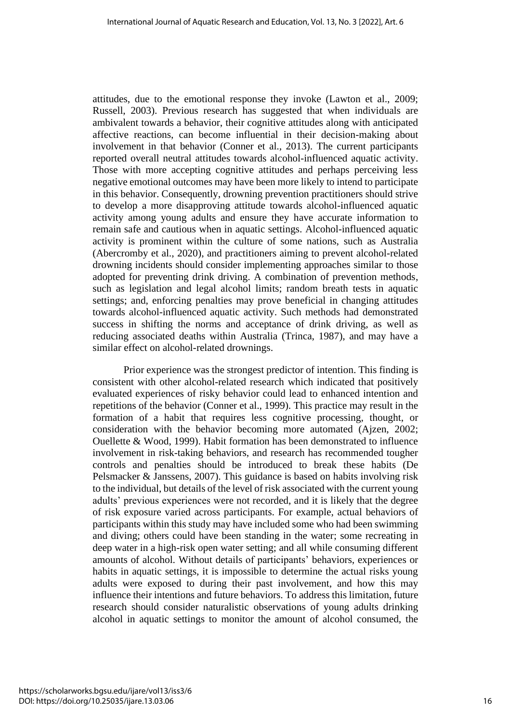attitudes, due to the emotional response they invoke (Lawton et al., 2009; Russell, 2003). Previous research has suggested that when individuals are ambivalent towards a behavior, their cognitive attitudes along with anticipated affective reactions, can become influential in their decision-making about involvement in that behavior (Conner et al., 2013). The current participants reported overall neutral attitudes towards alcohol-influenced aquatic activity. Those with more accepting cognitive attitudes and perhaps perceiving less negative emotional outcomes may have been more likely to intend to participate in this behavior. Consequently, drowning prevention practitioners should strive to develop a more disapproving attitude towards alcohol-influenced aquatic activity among young adults and ensure they have accurate information to remain safe and cautious when in aquatic settings. Alcohol-influenced aquatic activity is prominent within the culture of some nations, such as Australia (Abercromby et al., 2020), and practitioners aiming to prevent alcohol-related drowning incidents should consider implementing approaches similar to those adopted for preventing drink driving. A combination of prevention methods, such as legislation and legal alcohol limits; random breath tests in aquatic settings; and, enforcing penalties may prove beneficial in changing attitudes towards alcohol-influenced aquatic activity. Such methods had demonstrated success in shifting the norms and acceptance of drink driving, as well as reducing associated deaths within Australia (Trinca, 1987), and may have a similar effect on alcohol-related drownings.

Prior experience was the strongest predictor of intention. This finding is consistent with other alcohol-related research which indicated that positively evaluated experiences of risky behavior could lead to enhanced intention and repetitions of the behavior (Conner et al., 1999). This practice may result in the formation of a habit that requires less cognitive processing, thought, or consideration with the behavior becoming more automated (Ajzen, 2002; Ouellette & Wood, 1999). Habit formation has been demonstrated to influence involvement in risk-taking behaviors, and research has recommended tougher controls and penalties should be introduced to break these habits (De Pelsmacker & Janssens, 2007). This guidance is based on habits involving risk to the individual, but details of the level of risk associated with the current young adults' previous experiences were not recorded, and it is likely that the degree of risk exposure varied across participants. For example, actual behaviors of participants within this study may have included some who had been swimming and diving; others could have been standing in the water; some recreating in deep water in a high-risk open water setting; and all while consuming different amounts of alcohol. Without details of participants' behaviors, experiences or habits in aquatic settings, it is impossible to determine the actual risks young adults were exposed to during their past involvement, and how this may influence their intentions and future behaviors. To address this limitation, future research should consider naturalistic observations of young adults drinking alcohol in aquatic settings to monitor the amount of alcohol consumed, the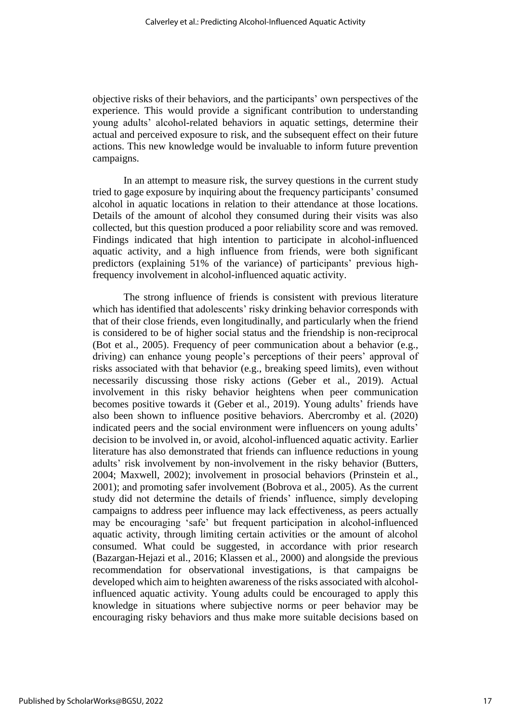objective risks of their behaviors, and the participants' own perspectives of the experience. This would provide a significant contribution to understanding young adults' alcohol-related behaviors in aquatic settings, determine their actual and perceived exposure to risk, and the subsequent effect on their future actions. This new knowledge would be invaluable to inform future prevention campaigns.

In an attempt to measure risk, the survey questions in the current study tried to gage exposure by inquiring about the frequency participants' consumed alcohol in aquatic locations in relation to their attendance at those locations. Details of the amount of alcohol they consumed during their visits was also collected, but this question produced a poor reliability score and was removed. Findings indicated that high intention to participate in alcohol-influenced aquatic activity, and a high influence from friends, were both significant predictors (explaining 51% of the variance) of participants' previous highfrequency involvement in alcohol-influenced aquatic activity.

The strong influence of friends is consistent with previous literature which has identified that adolescents' risky drinking behavior corresponds with that of their close friends, even longitudinally, and particularly when the friend is considered to be of higher social status and the friendship is non-reciprocal (Bot et al., 2005). Frequency of peer communication about a behavior (e.g., driving) can enhance young people's perceptions of their peers' approval of risks associated with that behavior (e.g., breaking speed limits), even without necessarily discussing those risky actions (Geber et al., 2019). Actual involvement in this risky behavior heightens when peer communication becomes positive towards it (Geber et al., 2019). Young adults' friends have also been shown to influence positive behaviors. Abercromby et al. (2020) indicated peers and the social environment were influencers on young adults' decision to be involved in, or avoid, alcohol-influenced aquatic activity. Earlier literature has also demonstrated that friends can influence reductions in young adults' risk involvement by non-involvement in the risky behavior (Butters, 2004; Maxwell, 2002); involvement in prosocial behaviors (Prinstein et al., 2001); and promoting safer involvement (Bobrova et al., 2005). As the current study did not determine the details of friends' influence, simply developing campaigns to address peer influence may lack effectiveness, as peers actually may be encouraging 'safe' but frequent participation in alcohol-influenced aquatic activity, through limiting certain activities or the amount of alcohol consumed. What could be suggested, in accordance with prior research (Bazargan-Hejazi et al., 2016; Klassen et al., 2000) and alongside the previous recommendation for observational investigations, is that campaigns be developed which aim to heighten awareness of the risks associated with alcoholinfluenced aquatic activity. Young adults could be encouraged to apply this knowledge in situations where subjective norms or peer behavior may be encouraging risky behaviors and thus make more suitable decisions based on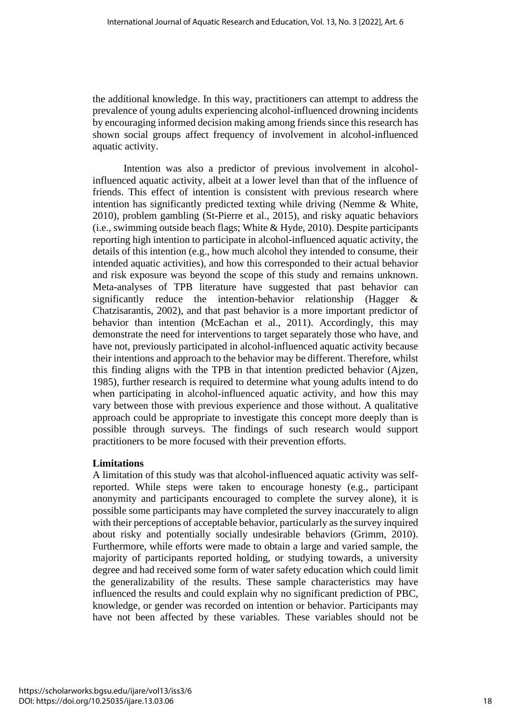the additional knowledge. In this way, practitioners can attempt to address the prevalence of young adults experiencing alcohol-influenced drowning incidents by encouraging informed decision making among friends since this research has shown social groups affect frequency of involvement in alcohol-influenced aquatic activity.

Intention was also a predictor of previous involvement in alcoholinfluenced aquatic activity, albeit at a lower level than that of the influence of friends. This effect of intention is consistent with previous research where intention has significantly predicted texting while driving (Nemme & White, 2010), problem gambling (St-Pierre et al., 2015), and risky aquatic behaviors (i.e., swimming outside beach flags; White & Hyde, 2010). Despite participants reporting high intention to participate in alcohol-influenced aquatic activity, the details of this intention (e.g., how much alcohol they intended to consume, their intended aquatic activities), and how this corresponded to their actual behavior and risk exposure was beyond the scope of this study and remains unknown. Meta-analyses of TPB literature have suggested that past behavior can significantly reduce the intention-behavior relationship (Hagger & Chatzisarantis, 2002), and that past behavior is a more important predictor of behavior than intention (McEachan et al., 2011). Accordingly, this may demonstrate the need for interventions to target separately those who have, and have not, previously participated in alcohol-influenced aquatic activity because their intentions and approach to the behavior may be different. Therefore, whilst this finding aligns with the TPB in that intention predicted behavior (Ajzen, 1985), further research is required to determine what young adults intend to do when participating in alcohol-influenced aquatic activity, and how this may vary between those with previous experience and those without. A qualitative approach could be appropriate to investigate this concept more deeply than is possible through surveys. The findings of such research would support practitioners to be more focused with their prevention efforts.

# **Limitations**

A limitation of this study was that alcohol-influenced aquatic activity was selfreported. While steps were taken to encourage honesty (e.g., participant anonymity and participants encouraged to complete the survey alone), it is possible some participants may have completed the survey inaccurately to align with their perceptions of acceptable behavior, particularly as the survey inquired about risky and potentially socially undesirable behaviors (Grimm, 2010). Furthermore, while efforts were made to obtain a large and varied sample, the majority of participants reported holding, or studying towards, a university degree and had received some form of water safety education which could limit the generalizability of the results. These sample characteristics may have influenced the results and could explain why no significant prediction of PBC, knowledge, or gender was recorded on intention or behavior. Participants may have not been affected by these variables. These variables should not be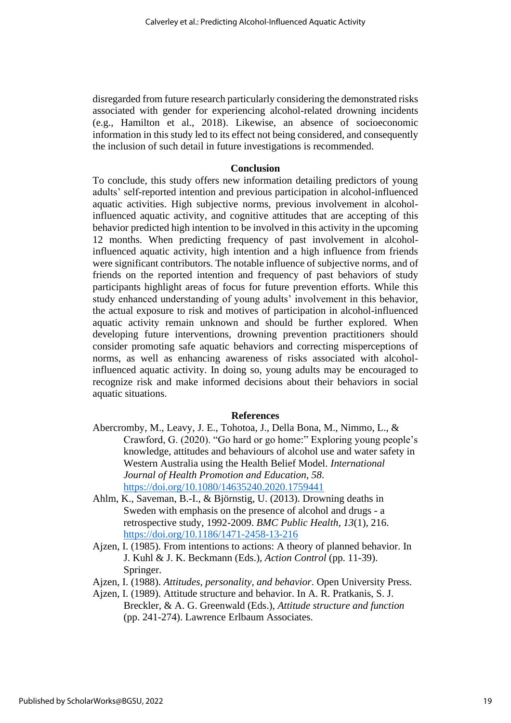disregarded from future research particularly considering the demonstrated risks associated with gender for experiencing alcohol-related drowning incidents (e.g., Hamilton et al., 2018). Likewise, an absence of socioeconomic information in this study led to its effect not being considered, and consequently the inclusion of such detail in future investigations is recommended.

#### **Conclusion**

To conclude, this study offers new information detailing predictors of young adults' self-reported intention and previous participation in alcohol-influenced aquatic activities. High subjective norms, previous involvement in alcoholinfluenced aquatic activity, and cognitive attitudes that are accepting of this behavior predicted high intention to be involved in this activity in the upcoming 12 months. When predicting frequency of past involvement in alcoholinfluenced aquatic activity, high intention and a high influence from friends were significant contributors. The notable influence of subjective norms, and of friends on the reported intention and frequency of past behaviors of study participants highlight areas of focus for future prevention efforts. While this study enhanced understanding of young adults' involvement in this behavior, the actual exposure to risk and motives of participation in alcohol-influenced aquatic activity remain unknown and should be further explored. When developing future interventions, drowning prevention practitioners should consider promoting safe aquatic behaviors and correcting misperceptions of norms, as well as enhancing awareness of risks associated with alcoholinfluenced aquatic activity. In doing so, young adults may be encouraged to recognize risk and make informed decisions about their behaviors in social aquatic situations.

#### **References**

- Abercromby, M., Leavy, J. E., Tohotoa, J., Della Bona, M., Nimmo, L., & Crawford, G. (2020). "Go hard or go home:" Exploring young people's knowledge, attitudes and behaviours of alcohol use and water safety in Western Australia using the Health Belief Model. *International Journal of Health Promotion and Education, 58*. <https://doi.org/10.1080/14635240.2020.1759441>
- Ahlm, K., Saveman, B.-I., & Björnstig, U. (2013). Drowning deaths in Sweden with emphasis on the presence of alcohol and drugs - a retrospective study, 1992-2009. *BMC Public Health, 13*(1), 216. <https://doi.org/10.1186/1471-2458-13-216>
- Ajzen, I. (1985). From intentions to actions: A theory of planned behavior. In J. Kuhl & J. K. Beckmann (Eds.), *Action Control* (pp. 11-39). Springer.
- Ajzen, I. (1988). *Attitudes, personality, and behavior*. Open University Press.
- Ajzen, I. (1989). Attitude structure and behavior. In A. R. Pratkanis, S. J. Breckler, & A. G. Greenwald (Eds.), *Attitude structure and function* (pp. 241-274). Lawrence Erlbaum Associates.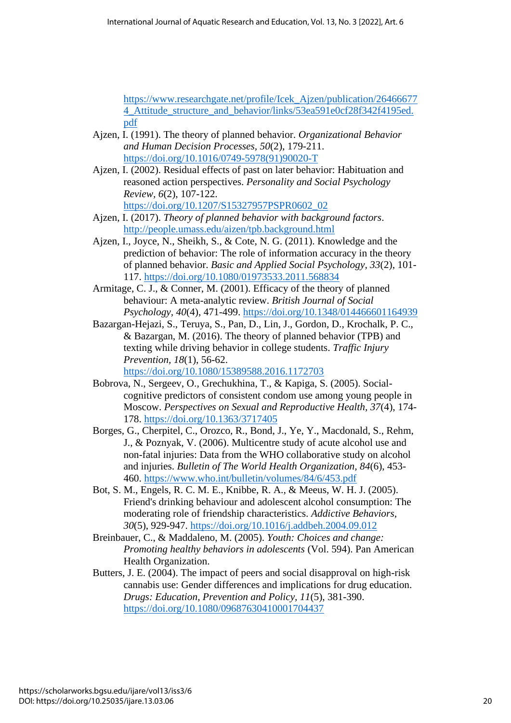[https://www.researchgate.net/profile/Icek\\_Ajzen/publication/26466677](https://www.researchgate.net/profile/Icek_Ajzen/publication/264666774_Attitude_structure_and_behavior/links/53ea591e0cf28f342f4195ed.pdf) [4\\_Attitude\\_structure\\_and\\_behavior/links/53ea591e0cf28f342f4195ed.](https://www.researchgate.net/profile/Icek_Ajzen/publication/264666774_Attitude_structure_and_behavior/links/53ea591e0cf28f342f4195ed.pdf) [pdf](https://www.researchgate.net/profile/Icek_Ajzen/publication/264666774_Attitude_structure_and_behavior/links/53ea591e0cf28f342f4195ed.pdf)

- Ajzen, I. (1991). The theory of planned behavior. *Organizational Behavior and Human Decision Processes, 50*(2), 179-211. [https://doi.org/10.1016/0749-5978\(91\)90020-T](https://doi.org/10.1016/0749-5978(91)90020-T)
- Ajzen, I. (2002). Residual effects of past on later behavior: Habituation and reasoned action perspectives. *Personality and Social Psychology Review, 6*(2), 107-122. [https://doi.org/10.1207/S15327957PSPR0602\\_02](https://doi.org/10.1207/S15327957PSPR0602_02)
- Ajzen, I. (2017). *Theory of planned behavior with background factors*. <http://people.umass.edu/aizen/tpb.background.html>
- Ajzen, I., Joyce, N., Sheikh, S., & Cote, N. G. (2011). Knowledge and the prediction of behavior: The role of information accuracy in the theory of planned behavior. *Basic and Applied Social Psychology, 33*(2), 101- 117.<https://doi.org/10.1080/01973533.2011.568834>
- Armitage, C. J., & Conner, M. (2001). Efficacy of the theory of planned behaviour: A meta-analytic review. *British Journal of Social Psychology, 40*(4), 471-499.<https://doi.org/10.1348/014466601164939>
- Bazargan-Hejazi, S., Teruya, S., Pan, D., Lin, J., Gordon, D., Krochalk, P. C., & Bazargan, M. (2016). The theory of planned behavior (TPB) and texting while driving behavior in college students. *Traffic Injury Prevention, 18*(1), 56-62. <https://doi.org/10.1080/15389588.2016.1172703>
- Bobrova, N., Sergeev, O., Grechukhina, T., & Kapiga, S. (2005). Socialcognitive predictors of consistent condom use among young people in Moscow. *Perspectives on Sexual and Reproductive Health, 37*(4), 174- 178.<https://doi.org/10.1363/3717405>
- Borges, G., Cherpitel, C., Orozco, R., Bond, J., Ye, Y., Macdonald, S., Rehm, J., & Poznyak, V. (2006). Multicentre study of acute alcohol use and non-fatal injuries: Data from the WHO collaborative study on alcohol and injuries. *Bulletin of The World Health Organization, 84*(6), 453- 460.<https://www.who.int/bulletin/volumes/84/6/453.pdf>
- Bot, S. M., Engels, R. C. M. E., Knibbe, R. A., & Meeus, W. H. J. (2005). Friend's drinking behaviour and adolescent alcohol consumption: The moderating role of friendship characteristics. *Addictive Behaviors, 30*(5), 929-947.<https://doi.org/10.1016/j.addbeh.2004.09.012>
- Breinbauer, C., & Maddaleno, M. (2005). *Youth: Choices and change: Promoting healthy behaviors in adolescents* (Vol. 594). Pan American Health Organization.
- Butters, J. E. (2004). The impact of peers and social disapproval on high-risk cannabis use: Gender differences and implications for drug education. *Drugs: Education, Prevention and Policy, 11*(5), 381-390. <https://doi.org/10.1080/09687630410001704437>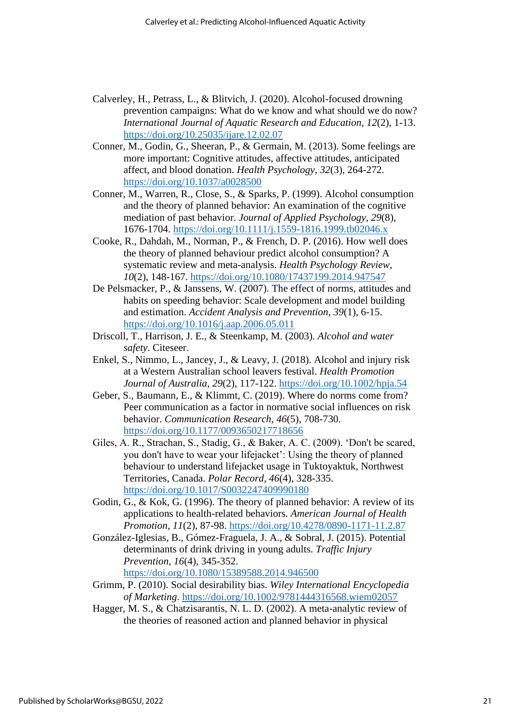- Calverley, H., Petrass, L., & Blitvich, J. (2020). Alcohol-focused drowning prevention campaigns: What do we know and what should we do now? *International Journal of Aquatic Research and Education, 12*(2), 1-13. <https://doi.org/10.25035/ijare.12.02.07>
- Conner, M., Godin, G., Sheeran, P., & Germain, M. (2013). Some feelings are more important: Cognitive attitudes, affective attitudes, anticipated affect, and blood donation. *Health Psychology, 32*(3), 264-272. <https://doi.org/10.1037/a0028500>
- Conner, M., Warren, R., Close, S., & Sparks, P. (1999). Alcohol consumption and the theory of planned behavior: An examination of the cognitive mediation of past behavior. *Journal of Applied Psychology, 29*(8), 1676-1704.<https://doi.org/10.1111/j.1559-1816.1999.tb02046.x>
- Cooke, R., Dahdah, M., Norman, P., & French, D. P. (2016). How well does the theory of planned behaviour predict alcohol consumption? A systematic review and meta-analysis. *Health Psychology Review, 10*(2), 148-167.<https://doi.org/10.1080/17437199.2014.947547>
- De Pelsmacker, P., & Janssens, W. (2007). The effect of norms, attitudes and habits on speeding behavior: Scale development and model building and estimation. *Accident Analysis and Prevention, 39*(1), 6-15. <https://doi.org/10.1016/j.aap.2006.05.011>
- Driscoll, T., Harrison, J. E., & Steenkamp, M. (2003). *Alcohol and water safety*. Citeseer.
- Enkel, S., Nimmo, L., Jancey, J., & Leavy, J. (2018). Alcohol and injury risk at a Western Australian school leavers festival. *Health Promotion Journal of Australia, 29*(2), 117-122.<https://doi.org/10.1002/hpja.54>
- Geber, S., Baumann, E., & Klimmt, C. (2019). Where do norms come from? Peer communication as a factor in normative social influences on risk behavior. *Communication Research, 46*(5), 708-730. <https://doi.org/10.1177/0093650217718656>
- Giles, A. R., Strachan, S., Stadig, G., & Baker, A. C. (2009). 'Don't be scared, you don't have to wear your lifejacket': Using the theory of planned behaviour to understand lifejacket usage in Tuktoyaktuk, Northwest Territories, Canada. *Polar Record, 46*(4), 328-335. <https://doi.org/10.1017/S0032247409990180>
- Godin, G., & Kok, G. (1996). The theory of planned behavior: A review of its applications to health-related behaviors. *American Journal of Health Promotion, 11*(2), 87-98.<https://doi.org/10.4278/0890-1171-11.2.87>
- González-Iglesias, B., Gómez-Fraguela, J. A., & Sobral, J. (2015). Potential determinants of drink driving in young adults. *Traffic Injury Prevention, 16*(4), 345-352.

<https://doi.org/10.1080/15389588.2014.946500>

- Grimm, P. (2010). Social desirability bias. *Wiley International Encyclopedia of Marketing*.<https://doi.org/10.1002/9781444316568.wiem02057>
- Hagger, M. S., & Chatzisarantis, N. L. D. (2002). A meta-analytic review of the theories of reasoned action and planned behavior in physical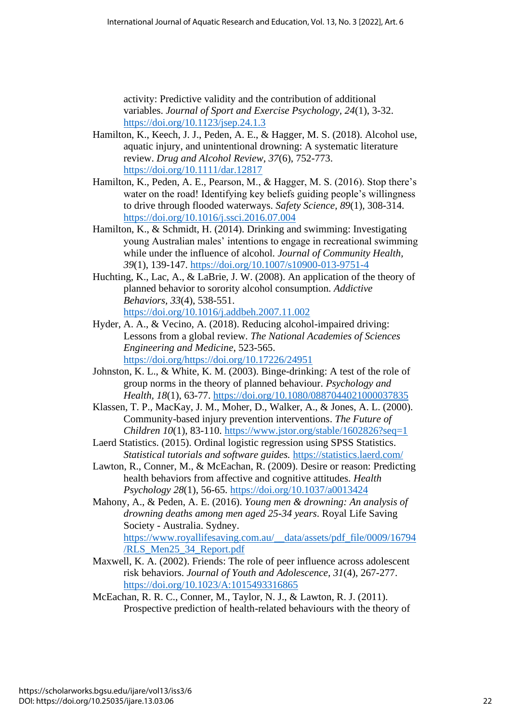activity: Predictive validity and the contribution of additional variables. *Journal of Sport and Exercise Psychology, 24*(1), 3-32. <https://doi.org/10.1123/jsep.24.1.3>

- Hamilton, K., Keech, J. J., Peden, A. E., & Hagger, M. S. (2018). Alcohol use, aquatic injury, and unintentional drowning: A systematic literature review. *Drug and Alcohol Review, 37*(6), 752-773. <https://doi.org/10.1111/dar.12817>
- Hamilton, K., Peden, A. E., Pearson, M., & Hagger, M. S. (2016). Stop there's water on the road! Identifying key beliefs guiding people's willingness to drive through flooded waterways. *Safety Science, 89*(1), 308-314. <https://doi.org/10.1016/j.ssci.2016.07.004>
- Hamilton, K., & Schmidt, H. (2014). Drinking and swimming: Investigating young Australian males' intentions to engage in recreational swimming while under the influence of alcohol. *Journal of Community Health, 39*(1), 139-147.<https://doi.org/10.1007/s10900-013-9751-4>
- Huchting, K., Lac, A., & LaBrie, J. W. (2008). An application of the theory of planned behavior to sorority alcohol consumption. *Addictive Behaviors, 33*(4), 538-551. <https://doi.org/10.1016/j.addbeh.2007.11.002>
- Hyder, A. A., & Vecino, A. (2018). Reducing alcohol-impaired driving: Lessons from a global review. *The National Academies of Sciences Engineering and Medicine*, 523-565. [https://doi.org/https://doi.org/10.17226/24951](https://doi.org/https:/doi.org/10.17226/24951)
- Johnston, K. L., & White, K. M. (2003). Binge-drinking: A test of the role of group norms in the theory of planned behaviour. *Psychology and Health, 18*(1), 63-77.<https://doi.org/10.1080/0887044021000037835>
- Klassen, T. P., MacKay, J. M., Moher, D., Walker, A., & Jones, A. L. (2000). Community-based injury prevention interventions. *The Future of Children 10*(1), 83-110.<https://www.jstor.org/stable/1602826?seq=1>
- Laerd Statistics. (2015). Ordinal logistic regression using SPSS Statistics. *Statistical tutorials and software guides.* <https://statistics.laerd.com/>
- Lawton, R., Conner, M., & McEachan, R. (2009). Desire or reason: Predicting health behaviors from affective and cognitive attitudes. *Health Psychology 28*(1), 56-65.<https://doi.org/10.1037/a0013424>
- Mahony, A., & Peden, A. E. (2016). *Young men & drowning: An analysis of drowning deaths among men aged 25-34 years*. Royal Life Saving Society - Australia. Sydney. [https://www.royallifesaving.com.au/\\_\\_data/assets/pdf\\_file/0009/16794](https://www.royallifesaving.com.au/__data/assets/pdf_file/0009/16794/RLS_Men25_34_Report.pdf) [/RLS\\_Men25\\_34\\_Report.pdf](https://www.royallifesaving.com.au/__data/assets/pdf_file/0009/16794/RLS_Men25_34_Report.pdf)
- Maxwell, K. A. (2002). Friends: The role of peer influence across adolescent risk behaviors. *Journal of Youth and Adolescence, 31*(4), 267-277. <https://doi.org/10.1023/A:1015493316865>
- McEachan, R. R. C., Conner, M., Taylor, N. J., & Lawton, R. J. (2011). Prospective prediction of health-related behaviours with the theory of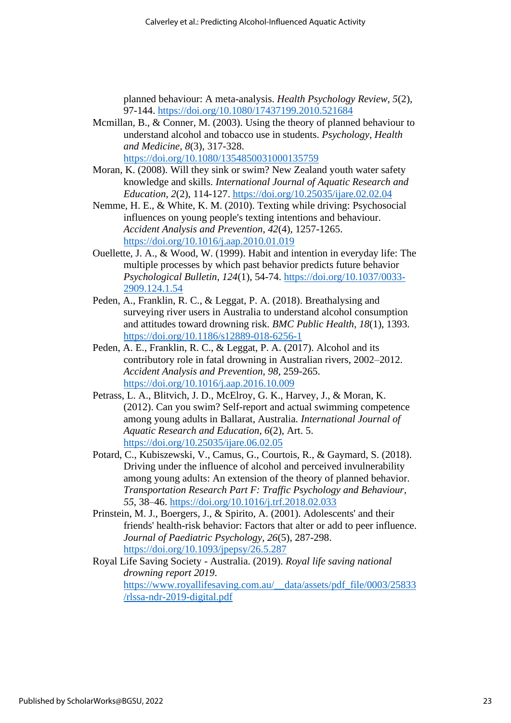planned behaviour: A meta-analysis. *Health Psychology Review, 5*(2), 97-144.<https://doi.org/10.1080/17437199.2010.521684>

- Mcmillan, B., & Conner, M. (2003). Using the theory of planned behaviour to understand alcohol and tobacco use in students. *Psychology, Health and Medicine, 8*(3), 317-328. <https://doi.org/10.1080/1354850031000135759>
- Moran, K. (2008). Will they sink or swim? New Zealand youth water safety knowledge and skills. *International Journal of Aquatic Research and Education, 2*(2), 114-127.<https://doi.org/10.25035/ijare.02.02.04>
- Nemme, H. E., & White, K. M. (2010). Texting while driving: Psychosocial influences on young people's texting intentions and behaviour. *Accident Analysis and Prevention, 42*(4), 1257-1265. <https://doi.org/10.1016/j.aap.2010.01.019>
- Ouellette, J. A., & Wood, W. (1999). Habit and intention in everyday life: The multiple processes by which past behavior predicts future behavior *Psychological Bulletin, 124*(1), 54-74. [https://doi.org/10.1037/0033-](https://doi.org/10.1037/0033-2909.124.1.54) [2909.124.1.54](https://doi.org/10.1037/0033-2909.124.1.54)
- Peden, A., Franklin, R. C., & Leggat, P. A. (2018). Breathalysing and surveying river users in Australia to understand alcohol consumption and attitudes toward drowning risk. *BMC Public Health, 18*(1), 1393. <https://doi.org/10.1186/s12889-018-6256-1>
- Peden, A. E., Franklin, R. C., & Leggat, P. A. (2017). Alcohol and its contributory role in fatal drowning in Australian rivers, 2002–2012. *Accident Analysis and Prevention, 98*, 259-265. <https://doi.org/10.1016/j.aap.2016.10.009>
- Petrass, L. A., Blitvich, J. D., McElroy, G. K., Harvey, J., & Moran, K. (2012). Can you swim? Self-report and actual swimming competence among young adults in Ballarat, Australia. *International Journal of Aquatic Research and Education, 6*(2), Art. 5. <https://doi.org/10.25035/ijare.06.02.05>
- Potard, C., Kubiszewski, V., Camus, G., Courtois, R., & Gaymard, S. (2018). Driving under the influence of alcohol and perceived invulnerability among young adults: An extension of the theory of planned behavior. *Transportation Research Part F: Traffic Psychology and Behaviour, 55*, 38–46.<https://doi.org/10.1016/j.trf.2018.02.033>
- Prinstein, M. J., Boergers, J., & Spirito, A. (2001). Adolescents' and their friends' health-risk behavior: Factors that alter or add to peer influence. *Journal of Paediatric Psychology, 26*(5), 287-298. <https://doi.org/10.1093/jpepsy/26.5.287>
- Royal Life Saving Society Australia. (2019). *Royal life saving national drowning report 2019*. [https://www.royallifesaving.com.au/\\_\\_data/assets/pdf\\_file/0003/25833](https://www.royallifesaving.com.au/__data/assets/pdf_file/0003/25833/rlssa-ndr-2019-digital.pdf) [/rlssa-ndr-2019-digital.pdf](https://www.royallifesaving.com.au/__data/assets/pdf_file/0003/25833/rlssa-ndr-2019-digital.pdf)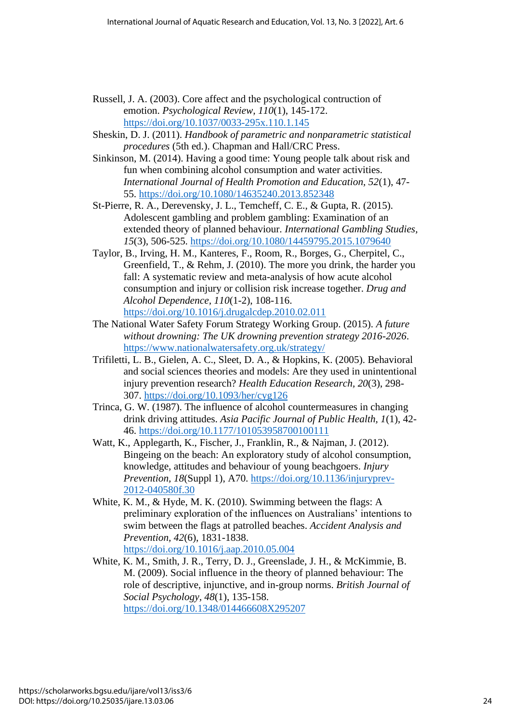- Russell, J. A. (2003). Core affect and the psychological contruction of emotion. *Psychological Review, 110*(1), 145-172. <https://doi.org/10.1037/0033-295x.110.1.145>
- Sheskin, D. J. (2011). *Handbook of parametric and nonparametric statistical procedures* (5th ed.). Chapman and Hall/CRC Press.
- Sinkinson, M. (2014). Having a good time: Young people talk about risk and fun when combining alcohol consumption and water activities. *International Journal of Health Promotion and Education, 52*(1), 47- 55.<https://doi.org/10.1080/14635240.2013.852348>
- St-Pierre, R. A., Derevensky, J. L., Temcheff, C. E., & Gupta, R. (2015). Adolescent gambling and problem gambling: Examination of an extended theory of planned behaviour. *International Gambling Studies, 15*(3), 506-525.<https://doi.org/10.1080/14459795.2015.1079640>
- Taylor, B., Irving, H. M., Kanteres, F., Room, R., Borges, G., Cherpitel, C., Greenfield, T., & Rehm, J. (2010). The more you drink, the harder you fall: A systematic review and meta-analysis of how acute alcohol consumption and injury or collision risk increase together. *Drug and Alcohol Dependence, 110*(1-2), 108-116. <https://doi.org/10.1016/j.drugalcdep.2010.02.011>
- The National Water Safety Forum Strategy Working Group. (2015). *A future without drowning: The UK drowning prevention strategy 2016-2026*. <https://www.nationalwatersafety.org.uk/strategy/>
- Trifiletti, L. B., Gielen, A. C., Sleet, D. A., & Hopkins, K. (2005). Behavioral and social sciences theories and models: Are they used in unintentional injury prevention research? *Health Education Research, 20*(3), 298- 307.<https://doi.org/10.1093/her/cyg126>
- Trinca, G. W. (1987). The influence of alcohol countermeasures in changing drink driving attitudes. *Asia Pacific Journal of Public Health, 1*(1), 42- 46.<https://doi.org/10.1177/101053958700100111>
- Watt, K., Applegarth, K., Fischer, J., Franklin, R., & Najman, J. (2012). Bingeing on the beach: An exploratory study of alcohol consumption, knowledge, attitudes and behaviour of young beachgoers. *Injury Prevention, 18*(Suppl 1), A70. [https://doi.org/10.1136/injuryprev-](https://doi.org/10.1136/injuryprev-2012-040580f.30)[2012-040580f.30](https://doi.org/10.1136/injuryprev-2012-040580f.30)
- White, K. M., & Hyde, M. K. (2010). Swimming between the flags: A preliminary exploration of the influences on Australians' intentions to swim between the flags at patrolled beaches. *Accident Analysis and Prevention, 42*(6), 1831-1838. <https://doi.org/10.1016/j.aap.2010.05.004>
- White, K. M., Smith, J. R., Terry, D. J., Greenslade, J. H., & McKimmie, B. M. (2009). Social influence in the theory of planned behaviour: The role of descriptive, injunctive, and in-group norms. *British Journal of Social Psychology, 48*(1), 135-158. <https://doi.org/10.1348/014466608X295207>